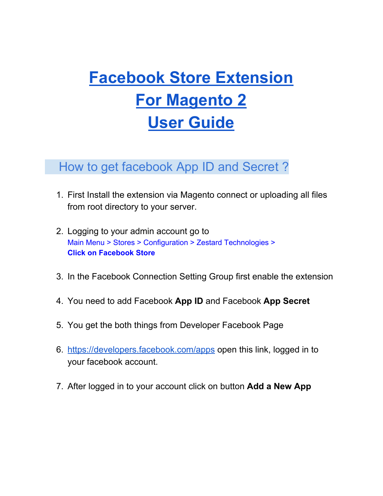# **Facebook Store Extension For Magento 2 User Guide**

## How to get facebook App ID and Secret ?

- 1. First Install the extension via Magento connect or uploading all files from root directory to your server.
- 2. Logging to your admin account go to Main Menu > Stores > Configuration > Zestard Technologies > **Click on Facebook Store**
- 3. In the Facebook Connection Setting Group first enable the extension
- 4. You need to add Facebook **App ID** and Facebook **App Secret**
- 5. You get the both things from Developer Facebook Page
- 6. <https://developers.facebook.com/apps> open this link, logged in to your facebook account.
- 7. After logged in to your account click on button **Add a New App**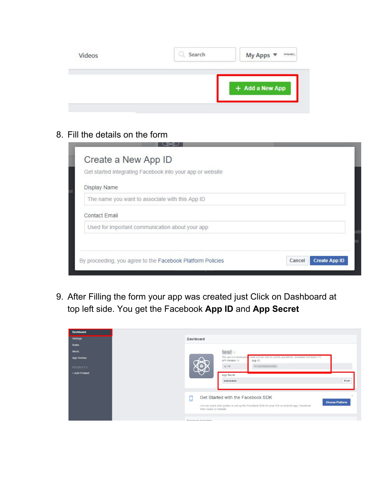| Videos | Search | My Apps $\blacktriangledown$ |  |
|--------|--------|------------------------------|--|
|        |        | + Add a New App              |  |
|        |        |                              |  |

8. Fill the details on the form

| Get started integrating Facebook into your app or website |  |
|-----------------------------------------------------------|--|
| Display Name                                              |  |
| The name you want to associate with this App ID           |  |
| <b>Contact Email</b>                                      |  |
| Used for important communication about your app           |  |
|                                                           |  |

9. After Filling the form your app was created just Click on Dashboard at top left side. You get the Facebook **App ID** and **App Secret**

| <b>Dashboard</b>  |
|-------------------|
| Settings          |
|                   |
|                   |
| <b>App Review</b> |
| <b>PRODUCTS</b>   |
| + Add Product     |
|                   |
|                   |
|                   |
|                   |
|                   |
|                   |
|                   |
|                   |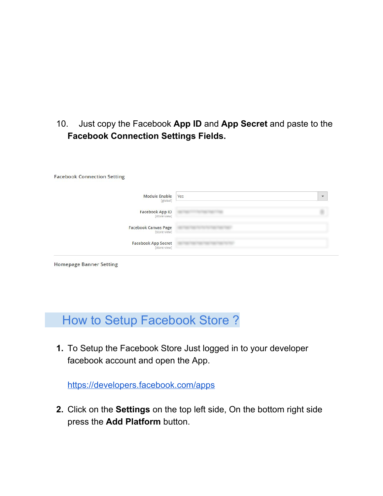### 10. Just copy the Facebook App ID and App Secret and paste to the **Facebook Connection Settings Fields.**

| <b>Module Enable</b><br>[global]            | Yes | $\overline{\phantom{a}}$ |
|---------------------------------------------|-----|--------------------------|
| <b>Facebook App ID</b><br>[store view]      |     |                          |
| <b>Facebook Canvas Page</b><br>[store view] |     |                          |
| <b>Facebook App Secret</b><br>[store view]  |     |                          |

## How to Setup Facebook Store ?

**1.** To Setup the Facebook Store Just logged in to your developer facebook account and open the App.

<https://developers.facebook.com/apps>

**2.** Click on the **Settings** on the top left side, On the bottom right side press the **Add Platform** button.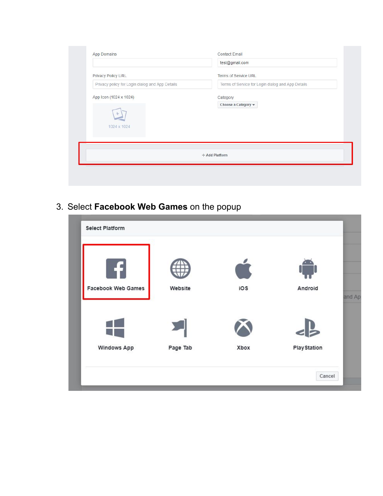|                                                 | test@gmail.com                                    |
|-------------------------------------------------|---------------------------------------------------|
| Privacy Policy URL                              | <b>Terms of Service URL</b>                       |
| Privacy policy for Login dialog and App Details | Terms of Service for Login dialog and App Details |
| App Icon (1024 x 1024)<br>÷<br>1024 x 1024      | Category<br>Choose a Category v                   |
|                                                 | + Add Platform                                    |

3. Select **Facebook Web Games** on the popup

| <b>Facebook Web Games</b> | Website  | ios  | Android             |
|---------------------------|----------|------|---------------------|
|                           |          |      |                     |
| <b>Windows App</b>        | Page Tab | Xbox | <b>Play Station</b> |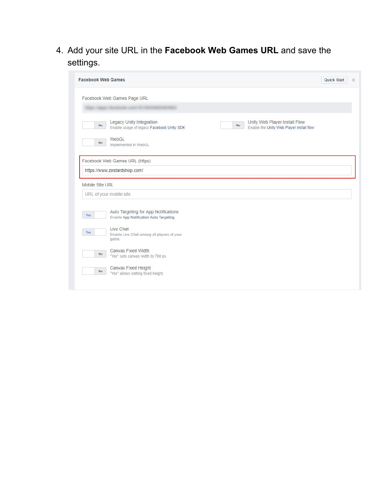4. Add your site URL in the **Facebook Web Games URL** and save the settings.

| <b>Facebook Web Games</b> |                                                                                                                                                                     | <b>Quick Start</b> | $\times$ |
|---------------------------|---------------------------------------------------------------------------------------------------------------------------------------------------------------------|--------------------|----------|
|                           | Facebook Web Games Page URL                                                                                                                                         |                    |          |
| No                        | Legacy Unity Integration<br>Unity Web Player Install Flow<br>$\mathsf{No}$<br>Enable usage of legacy Facebook Unity SDK<br>Enable the Unity Web Player install flow |                    |          |
| No.                       | WebGL<br>Implemented in WebGL                                                                                                                                       |                    |          |
|                           | Facebook Web Games URL (https)                                                                                                                                      |                    |          |
|                           |                                                                                                                                                                     |                    |          |
|                           | https://www.zestardshop.com/                                                                                                                                        |                    |          |
| Mobile Site URL           |                                                                                                                                                                     |                    |          |
|                           | URL of your mobile site                                                                                                                                             |                    |          |
| Yes                       | Auto Targeting for App Notifications<br>Enable App Notification Auto Targeting.                                                                                     |                    |          |
| Yes                       | Live Chat<br>Enable Live Chat among all players of your<br>game.                                                                                                    |                    |          |
| <b>No</b>                 | Canvas Fixed Width<br>"Yes" sets canvas width to 760 px.                                                                                                            |                    |          |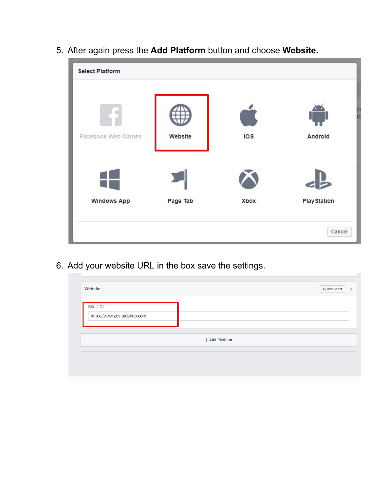

5. After again press the **Add Platform** button and choose **Website.**

6. Add your website URL in the box save the settings.

| Site URL                    |                |  |
|-----------------------------|----------------|--|
| https://www.zestardshop.com |                |  |
|                             |                |  |
|                             | + Add Platform |  |
|                             |                |  |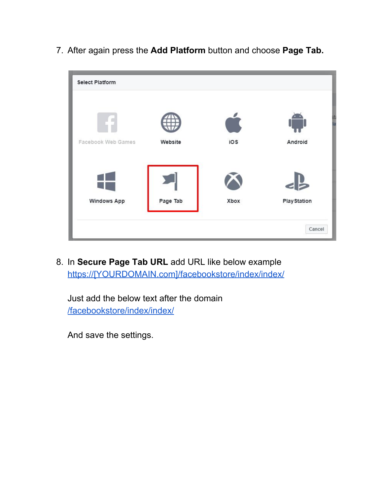**Select Platform** 

7. After again press the **Add Platform** button and choose **Page Tab.**



8. In **Secure Page Tab URL** add URL like below example https://[YOURDOMAIN.com]/facebookstore/index/index/

Just add the below text after the domain /facebookstore/index/index/

And save the settings.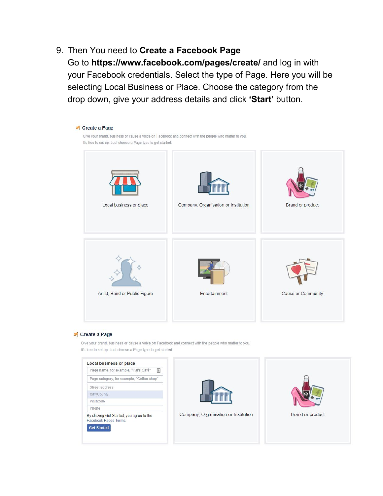9. Then You need to **Create a Facebook Page**

Go to **https://www.facebook.com/pages/create/** and log in with your Facebook credentials. Select the type of Page. Here you will be selecting Local Business or Place. Choose the category from the drop down, give your address details and click **'Start'** button.



#### <sup>2</sup> Create a Page

Give your brand, business or cause a voice on Facebook and connect with the people who matter to you. It's free to set up. Just choose a Page type to get started.

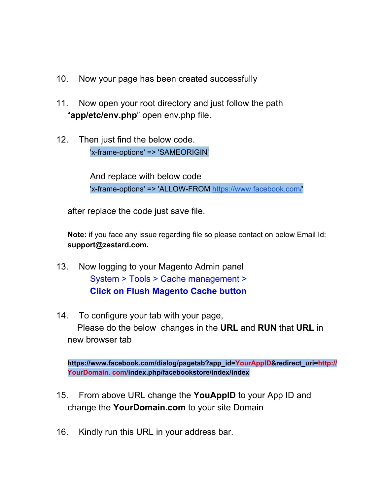- 10. Now your page has been created successfully
- 11. Now open your root directory and just follow the path "**app/etc/env.php**" open env.php file.
- 12. Then just find the below code. 'x-frame-options' => 'SAMEORIGIN'

And replace with below code 'x-frame-options' => 'ALLOW-FROM <https://www.facebook.com/>'

after replace the code just save file.

**Note:** if you face any issue regarding file so please contact on below Email Id: **support@zestard.com.**

- 13. Now logging to your Magento Admin panel System > Tools > Cache management > **Click on Flush Magento Cache button**
- 14. To configure your tab with your page, Please do the below changes in the **URL** and **RUN** that **URL** in new browser tab

**https://www.facebook.com/dialog/pagetab?app\_id=YourAppID&redirect\_uri=http:// YourDomain. com/index.php/facebookstore/index/index**

- 15. From above URL change the **YouAppID** to your App ID and change the **YourDomain.com** to your site Domain
- 16. Kindly run this URL in your address bar.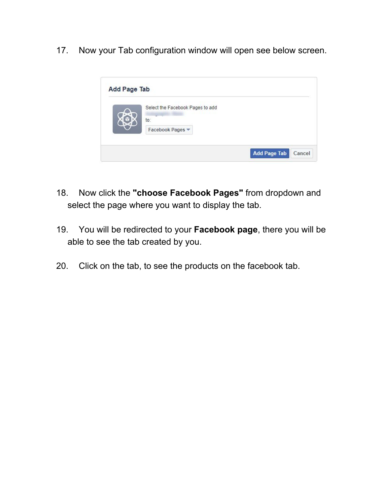17. Now your Tab configuration window will open see below screen.



- 18. Now click the **"choose Facebook Pages"** from dropdown and select the page where you want to display the tab.
- 19. You will be redirected to your **Facebook page**, there you will be able to see the tab created by you.
- 20. Click on the tab, to see the products on the facebook tab.